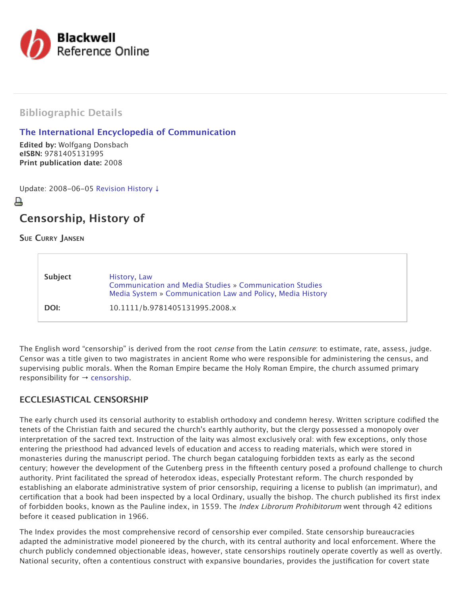

**Bibliographic Details**

### **[The International Encyclopedia of Communication](http://proxy.library.upenn.edu:4809/subscriber/book?id=g9781405131995_9781405131995)**

**Edited by:** Wolfgang Donsbach **eISBN:** 9781405131995 **Print publication date:** 2008

Update: 2008-06-05 [Revision History](http://proxy.library.upenn.edu:4809/subscriber/uid=2222/tocnode?id=g9781405131995_chunk_g97814051319958_ss13-1#) ↓

Д

# **Censorship, History of**

**SUE CURRY JANSEN**

| <b>Subject</b> | History, Law<br>Communication and Media Studies » Communication Studies<br>Media System » Communication Law and Policy, Media History |
|----------------|---------------------------------------------------------------------------------------------------------------------------------------|
| DOI:           | 10.1111/b.9781405131995.2008.x                                                                                                        |

The English word "censorship" is derived from the root *cense* from the Latin *censure*: to estimate, rate, assess, judge. Censor was a title given to two magistrates in ancient Rome who were responsible for administering the census, and supervising public morals. When the Roman Empire became the Holy Roman Empire, the church assumed primary responsibility for  $\rightarrow$  [censorship.](http://proxy.library.upenn.edu:4809/subscriber/uid=2222/tocnode?id=g9781405131995_chunk_g97814051319958_ss12-1)

### **ECCLESIASTICAL CENSORSHIP**

The early church used its censorial authority to establish orthodoxy and condemn heresy. Written scripture codified the tenets of the Christian faith and secured the church's earthly authority, but the clergy possessed a monopoly over interpretation of the sacred text. Instruction of the laity was almost exclusively oral: with few exceptions, only those entering the priesthood had advanced levels of education and access to reading materials, which were stored in monasteries during the manuscript period. The church began cataloguing forbidden texts as early as the second century; however the development of the Gutenberg press in the fifteenth century posed a profound challenge to church authority. Print facilitated the spread of heterodox ideas, especially Protestant reform. The church responded by establishing an elaborate administrative system of prior censorship, requiring a license to publish (an imprimatur), and certification that a book had been inspected by a local Ordinary, usually the bishop. The church published its first index of forbidden books, known as the Pauline index, in 1559. The *Index Librorum Prohibitorum* went through 42 editions before it ceased publication in 1966.

The Index provides the most comprehensive record of censorship ever compiled. State censorship bureaucracies adapted the administrative model pioneered by the church, with its central authority and local enforcement. Where the church publicly condemned objectionable ideas, however, state censorships routinely operate covertly as well as overtly. National security, often a contentious construct with expansive boundaries, provides the justification for covert state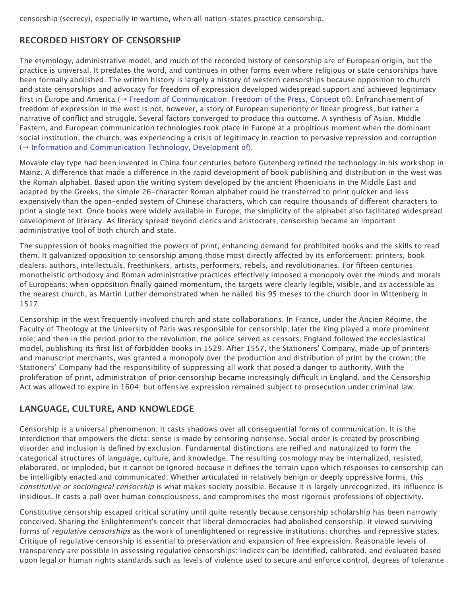censorship (secrecy), especially in wartime, when all nation-states practice censorship.

# **RECORDED HISTORY OF CENSORSHIP**

The etymology, administrative model, and much of the recorded history of censorship are of European origin, but the practice is universal. It predates the word, and continues in other forms even where religious or state censorships have been formally abolished. The written history is largely a history of western censorships because opposition to church and state censorships and advocacy for freedom of expression developed widespread support and achieved legitimacy first in Europe and America (→ [Freedom of Communication;](http://proxy.library.upenn.edu:4809/subscriber/uid=2222/tocnode?id=g9781405131995_chunk_g978140513199511_ss46-1) [Freedom of the Press, Concept of\)](http://proxy.library.upenn.edu:4809/subscriber/uid=2222/tocnode?id=g9781405131995_chunk_g978140513199511_ss48-1). Enfranchisement of freedom of expression in the west is not, however, a story of European superiority or linear progress, but rather a narrative of conflict and struggle. Several factors converged to produce this outcome. A synthesis of Asian, Middle Eastern, and European communication technologies took place in Europe at a propitious moment when the dominant social institution, the church, was experiencing a crisis of legitimacy in reaction to pervasive repression and corruption (→ [Information and Communication Technology, Development of\)](http://proxy.library.upenn.edu:4809/subscriber/uid=2222/tocnode?id=g9781405131995_chunk_g978140513199514_ss19-1).

Movable clay type had been invented in China four centuries before Gutenberg refined the technology in his workshop in Mainz. A diference that made a diference in the rapid development of book publishing and distribution in the west was the Roman alphabet. Based upon the writing system developed by the ancient Phoenicians in the Middle East and adapted by the Greeks, the simple 26-character Roman alphabet could be transferred to print quicker and less expensively than the open-ended system of Chinese characters, which can require thousands of diferent characters to print a single text. Once books were widely available in Europe, the simplicity of the alphabet also facilitated widespread development of literacy. As literacy spread beyond clerics and aristocrats, censorship became an important administrative tool of both church and state.

The suppression of books magnified the powers of print, enhancing demand for prohibited books and the skills to read them. It galvanized opposition to censorship among those most directly afected by its enforcement: printers, book dealers, authors, intellectuals, freethinkers, artists, performers, rebels, and revolutionaries. For fifteen centuries monotheistic orthodoxy and Roman administrative practices efectively imposed a monopoly over the minds and morals of Europeans: when opposition finally gained momentum, the targets were clearly legible, visible, and as accessible as the nearest church, as Martin Luther demonstrated when he nailed his 95 theses to the church door in Wittenberg in 1517.

Censorship in the west frequently involved church and state collaborations. In France, under the Ancien Régime, the Faculty of Theology at the University of Paris was responsible for censorship; later the king played a more prominent role; and then in the period prior to the revolution, the police served as censors. England followed the ecclesiastical model, publishing its first list of forbidden books in 1529. After 1557, the Stationers' Company, made up of printers and manuscript merchants, was granted a monopoly over the production and distribution of print by the crown; the Stationers' Company had the responsibility of suppressing all work that posed a danger to authority. With the proliferation of print, administration of prior censorship became increasingly difficult in England, and the Censorship Act was allowed to expire in 1604; but offensive expression remained subject to prosecution under criminal law.

# **LANGUAGE, CULTURE, AND KNOWLEDGE**

Censorship is a universal phenomenon: it casts shadows over all consequential forms of communication. It is the interdiction that empowers the dicta: sense is made by censoring nonsense. Social order is created by proscribing disorder and inclusion is defined by exclusion. Fundamental distinctions are reified and naturalized to form the categorical structures of language, culture, and knowledge. The resulting cosmology may be internalized, resisted, elaborated, or imploded, but it cannot be ignored because it defines the terrain upon which responses to censorship can be intelligibly enacted and communicated. Whether articulated in relatively benign or deeply oppressive forms, this constitutive or sociological censorship is what makes society possible. Because it is largely unrecognized, its influence is insidious. It casts a pall over human consciousness, and compromises the most rigorous professions of objectivity.

Constitutive censorship escaped critical scrutiny until quite recently because censorship scholarship has been narrowly conceived. Sharing the Enlightenment's conceit that liberal democracies had abolished censorship, it viewed surviving forms of regulative censorships as the work of unenlightened or regressive institutions: churches and repressive states. Critique of regulative censorship is essential to preservation and expansion of free expression. Reasonable levels of transparency are possible in assessing regulative censorships: indices can be identified, calibrated, and evaluated based upon legal or human rights standards such as levels of violence used to secure and enforce control, degrees of tolerance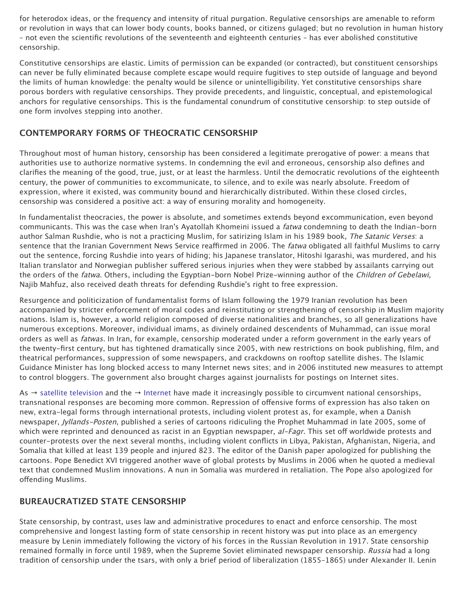for heterodox ideas, or the frequency and intensity of ritual purgation. Regulative censorships are amenable to reform or revolution in ways that can lower body counts, books banned, or citizens gulaged; but no revolution in human history – not even the scientific revolutions of the seventeenth and eighteenth centuries – has ever abolished constitutive censorship.

Constitutive censorships are elastic. Limits of permission can be expanded (or contracted), but constituent censorships can never be fully eliminated because complete escape would require fugitives to step outside of language and beyond the limits of human knowledge: the penalty would be silence or unintelligibility. Yet constitutive censorships share porous borders with regulative censorships. They provide precedents, and linguistic, conceptual, and epistemological anchors for regulative censorships. This is the fundamental conundrum of constitutive censorship: to step outside of one form involves stepping into another.

# **CONTEMPORARY FORMS OF THEOCRATIC CENSORSHIP**

Throughout most of human history, censorship has been considered a legitimate prerogative of power: a means that authorities use to authorize normative systems. In condemning the evil and erroneous, censorship also defines and clarifies the meaning of the good, true, just, or at least the harmless. Until the democratic revolutions of the eighteenth century, the power of communities to excommunicate, to silence, and to exile was nearly absolute. Freedom of expression, where it existed, was community bound and hierarchically distributed. Within these closed circles, censorship was considered a positive act: a way of ensuring morality and homogeneity.

In fundamentalist theocracies, the power is absolute, and sometimes extends beyond excommunication, even beyond communicants. This was the case when Iran's Ayatollah Khomeini issued a *fatwa* condemning to death the Indian-born author Salman Rushdie, who is not a practicing Muslim, for satirizing Islam in his 1989 book, The Satanic Verses: a sentence that the Iranian Government News Service reaffirmed in 2006. The *fatwa* obligated all faithful Muslims to carry out the sentence, forcing Rushdie into years of hiding; his Japanese translator, Hitoshi Igarashi, was murdered, and his Italian translator and Norwegian publisher sufered serious injuries when they were stabbed by assailants carrying out the orders of the fatwa. Others, including the Egyptian-born Nobel Prize-winning author of the Children of Gebelawi, Najib Mahfuz, also received death threats for defending Rushdie's right to free expression.

Resurgence and politicization of fundamentalist forms of Islam following the 1979 Iranian revolution has been accompanied by stricter enforcement of moral codes and reinstituting or strengthening of censorship in Muslim majority nations. Islam is, however, a world religion composed of diverse nationalities and branches, so all generalizations have numerous exceptions. Moreover, individual imams, as divinely ordained descendents of Muhammad, can issue moral orders as well as fatwas. In Iran, for example, censorship moderated under a reform government in the early years of the twenty-first century, but has tightened dramatically since 2005, with new restrictions on book publishing, film, and theatrical performances, suppression of some newspapers, and crackdowns on rooftop satellite dishes. The Islamic Guidance Minister has long blocked access to many Internet news sites; and in 2006 instituted new measures to attempt to control bloggers. The government also brought charges against journalists for postings on Internet sites.

As → [satellite television](http://proxy.library.upenn.edu:4809/subscriber/uid=2222/tocnode?id=g9781405131995_chunk_g978140513199524_ss8-1) and the → [Internet](http://proxy.library.upenn.edu:4809/subscriber/uid=2222/tocnode?id=g9781405131995_chunk_g978140513199514_ss68-1) have made it increasingly possible to circumvent national censorships, transnational responses are becoming more common. Repression of ofensive forms of expression has also taken on new, extra-legal forms through international protests, including violent protest as, for example, when a Danish newspaper, Jyllands-Posten, published a series of cartoons ridiculing the Prophet Muhammad in late 2005, some of which were reprinted and denounced as racist in an Egyptian newspaper, al-Fagr. This set off worldwide protests and counter-protests over the next several months, including violent conflicts in Libya, Pakistan, Afghanistan, Nigeria, and Somalia that killed at least 139 people and injured 823. The editor of the Danish paper apologized for publishing the cartoons. Pope Benedict XVI triggered another wave of global protests by Muslims in 2006 when he quoted a medieval text that condemned Muslim innovations. A nun in Somalia was murdered in retaliation. The Pope also apologized for offending Muslims.

### **BUREAUCRATIZED STATE CENSORSHIP**

State censorship, by contrast, uses law and administrative procedures to enact and enforce censorship. The most comprehensive and longest lasting form of state censorship in recent history was put into place as an emergency measure by Lenin immediately following the victory of his forces in the Russian Revolution in 1917. State censorship remained formally in force until 1989, when the Supreme Soviet eliminated newspaper censorship. Russia had a long tradition of censorship under the tsars, with only a brief period of liberalization (1855–1865) under Alexander II. Lenin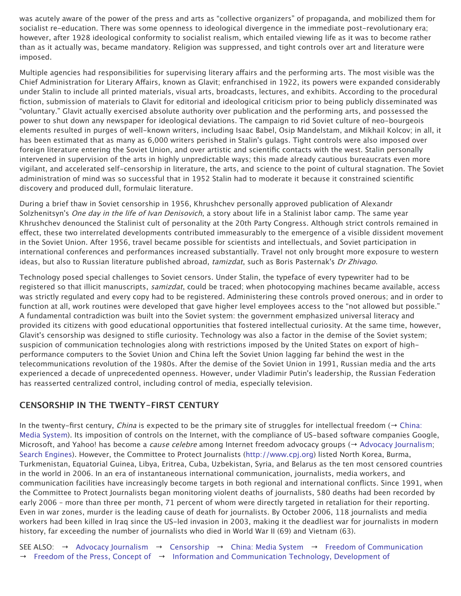was acutely aware of the power of the press and arts as "collective organizers" of propaganda, and mobilized them for socialist re-education. There was some openness to ideological divergence in the immediate post-revolutionary era; however, after 1928 ideological conformity to socialist realism, which entailed viewing life as it was to become rather than as it actually was, became mandatory. Religion was suppressed, and tight controls over art and literature were imposed.

Multiple agencies had responsibilities for supervising literary afairs and the performing arts. The most visible was the Chief Administration for Literary Afairs, known as Glavit; enfranchised in 1922, its powers were expanded considerably under Stalin to include all printed materials, visual arts, broadcasts, lectures, and exhibits. According to the procedural fiction, submission of materials to Glavit for editorial and ideological criticism prior to being publicly disseminated was "voluntary." Glavit actually exercised absolute authority over publication and the performing arts, and possessed the power to shut down any newspaper for ideological deviations. The campaign to rid Soviet culture of neo-bourgeois elements resulted in purges of well-known writers, including Isaac Babel, Osip Mandelstam, and Mikhail Kolcov; in all, it has been estimated that as many as 6,000 writers perished in Stalin's gulags. Tight controls were also imposed over foreign literature entering the Soviet Union, and over artistic and scientific contacts with the west. Stalin personally intervened in supervision of the arts in highly unpredictable ways; this made already cautious bureaucrats even more vigilant, and accelerated self-censorship in literature, the arts, and science to the point of cultural stagnation. The Soviet administration of mind was so successful that in 1952 Stalin had to moderate it because it constrained scientific discovery and produced dull, formulaic literature.

During a brief thaw in Soviet censorship in 1956, Khrushchev personally approved publication of Alexandr Solzhenitsyn's *One day in the life of Ivan Denisovich*, a story about life in a Stalinist labor camp. The same year Khrushchev denounced the Stalinist cult of personality at the 20th Party Congress. Although strict controls remained in efect, these two interrelated developments contributed immeasurably to the emergence of a visible dissident movement in the Soviet Union. After 1956, travel became possible for scientists and intellectuals, and Soviet participation in international conferences and performances increased substantially. Travel not only brought more exposure to western ideas, but also to Russian literature published abroad, tamizdat, such as Boris Pasternak's Dr Zhivago.

Technology posed special challenges to Soviet censors. Under Stalin, the typeface of every typewriter had to be registered so that illicit manuscripts, samizdat, could be traced; when photocopying machines became available, access was strictly regulated and every copy had to be registered. Administering these controls proved onerous; and in order to function at all, work routines were developed that gave higher level employees access to the "not allowed but possible." A fundamental contradiction was built into the Soviet system: the government emphasized universal literacy and provided its citizens with good educational opportunities that fostered intellectual curiosity. At the same time, however, Glavit's censorship was designed to stifle curiosity. Technology was also a factor in the demise of the Soviet system; suspicion of communication technologies along with restrictions imposed by the United States on export of highperformance computers to the Soviet Union and China left the Soviet Union lagging far behind the west in the telecommunications revolution of the 1980s. After the demise of the Soviet Union in 1991, Russian media and the arts experienced a decade of unprecedented openness. However, under Vladimir Putin's leadership, the Russian Federation has reasserted centralized control, including control of media, especially television.

# **CENSORSHIP IN THE TWENTY-FIRST CENTURY**

In the twenty-first century, *China* is expected to be the primary site of struggles for intellectual freedom ( $\rightarrow$  China: [Media System\). Its imposition of controls on the Internet, with the compliance of US-based software companies Goo](http://proxy.library.upenn.edu:4809/subscriber/uid=2222/tocnode?id=g9781405131995_chunk_g97814051319958_ss22-1)gle, Microsoft, and Yahoo! has become a *cause celebre* among Internet freedom advocacy groups (→ [Advocacy Journalism;](http://proxy.library.upenn.edu:4809/subscriber/uid=2222/tocnode?id=g9781405131995_chunk_g97814051319956_ss29-1) [Search Engines\)](http://proxy.library.upenn.edu:4809/subscriber/uid=2222/tocnode?id=g9781405131995_chunk_g978140513199524_ss22-1). However, the Committee to Protect Journalists [\(http://www.cpj.org\)](http://proxy.library.upenn.edu:4809/subscriber/uid=2222/redirect?url=http://www.cpj.org) listed North Korea, Burma, Turkmenistan, Equatorial Guinea, Libya, Eritrea, Cuba, Uzbekistan, Syria, and Belarus as the ten most censored countries in the world in 2006. In an era of instantaneous international communication, journalists, media workers, and communication facilities have increasingly become targets in both regional and international conflicts. Since 1991, when the Committee to Protect Journalists began monitoring violent deaths of journalists, 580 deaths had been recorded by early 2006 – more than three per month, 71 percent of whom were directly targeted in retaliation for their reporting. Even in war zones, murder is the leading cause of death for journalists. By October 2006, 118 journalists and media workers had been killed in Iraq since the US-led invasion in 2003, making it the deadliest war for journalists in modern history, far exceeding the number of journalists who died in World War II (69) and Vietnam (63).

SEE ALSO: → [Advocacy Journalism](http://proxy.library.upenn.edu:4809/subscriber/uid=2222/tocnode?id=g9781405131995_chunk_g97814051319956_ss29-1) → [Censorship](http://proxy.library.upenn.edu:4809/subscriber/uid=2222/tocnode?id=g9781405131995_chunk_g97814051319958_ss12-1) → [China: Media System](http://proxy.library.upenn.edu:4809/subscriber/uid=2222/tocnode?id=g9781405131995_chunk_g97814051319958_ss22-1) → [Freedom of Communication](http://proxy.library.upenn.edu:4809/subscriber/uid=2222/tocnode?id=g9781405131995_chunk_g978140513199511_ss46-1) → [Freedom of the Press, Concept of](http://proxy.library.upenn.edu:4809/subscriber/uid=2222/tocnode?id=g9781405131995_chunk_g978140513199511_ss48-1) → [Information and Communication Technology, Development of](http://proxy.library.upenn.edu:4809/subscriber/uid=2222/tocnode?id=g9781405131995_chunk_g978140513199514_ss19-1)